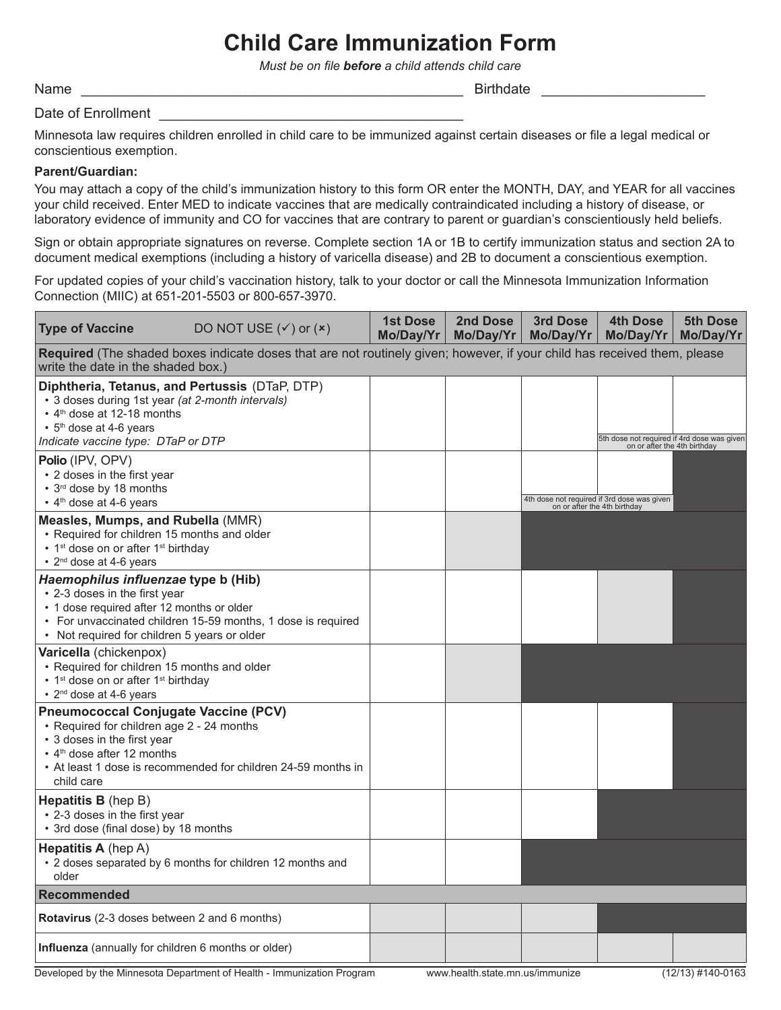# **Child Care Immunization Form**

*Must be on file before a child attends child care* 

Name \_\_\_\_\_\_\_\_\_\_\_\_\_\_\_\_\_\_\_\_\_\_\_\_\_\_\_\_\_\_\_\_\_\_\_\_\_\_\_\_\_\_\_\_\_\_\_\_\_ Birthdate \_\_\_\_\_\_\_\_\_\_\_\_\_\_\_\_\_\_\_\_\_

### Date of Enrollment

Minnesota law requires children enrolled in child care to be immunized against certain diseases or file a legal medical or conscientious exemption.

#### **Parent/Guardian:**

You may attach a copy of the child's immunization history to this form OR enter the MONTH, DAY, and YEAR for all vaccines your child received. Enter MED to indicate vaccines that are medically contraindicated including a history of disease, or laboratory evidence of immunity and CO for vaccines that are contrary to parent or guardian's conscientiously held beliefs.

Sign or obtain appropriate signatures on reverse. Complete section 1A or 1B to certify immunization status and section 2A to document medical exemptions (including a history of varicella disease) and 2B to document a conscientious exemption.

For updated copies of your child's vaccination history, talk to your doctor or call the Minnesota Immunization Information Connection (MIIC) at 651-201-5503 or 800-657-3970.

| <b>Type of Vaccine</b>                                                                                                                                                                                                                                 | DO NOT USE $({\checkmark})$ or $({\checkmark})$ | <b>1st Dose</b><br>Mo/Day/Yr | 2nd Dose<br>Mo/Day/Yr | 3rd Dose<br>Mo/Day/Yr | <b>4th Dose</b><br>Mo/Day/Yr                                                | 5th Dose<br>Mo/Day/Yr |  |
|--------------------------------------------------------------------------------------------------------------------------------------------------------------------------------------------------------------------------------------------------------|-------------------------------------------------|------------------------------|-----------------------|-----------------------|-----------------------------------------------------------------------------|-----------------------|--|
| Required (The shaded boxes indicate doses that are not routinely given; however, if your child has received them, please<br>write the date in the shaded box.)                                                                                         |                                                 |                              |                       |                       |                                                                             |                       |  |
| Diphtheria, Tetanus, and Pertussis (DTaP, DTP)<br>• 3 doses during 1st year (at 2-month intervals)<br>• 4 <sup>th</sup> dose at 12-18 months<br>• 5 <sup>th</sup> dose at 4-6 years<br>Indicate vaccine type: DTaP or DTP                              |                                                 |                              |                       |                       | 5th dose not required if 4rd dose was given<br>on or after the 4th birthday |                       |  |
| <b>Polio (IPV, OPV)</b><br>• 2 doses in the first year<br>• 3 <sup>rd</sup> dose by 18 months<br>• 4 <sup>th</sup> dose at 4-6 years                                                                                                                   |                                                 |                              |                       |                       | 4th dose not required if 3rd dose was given<br>on or after the 4th birthday |                       |  |
| Measles, Mumps, and Rubella (MMR)<br>• Required for children 15 months and older<br>• 1 <sup>st</sup> dose on or after 1 <sup>st</sup> birthday<br>• 2 <sup>nd</sup> dose at 4-6 years                                                                 |                                                 |                              |                       |                       |                                                                             |                       |  |
| Haemophilus influenzae type b (Hib)<br>• 2-3 doses in the first year<br>• 1 dose required after 12 months or older<br>• For unvaccinated children 15-59 months, 1 dose is required<br>• Not required for children 5 years or older                     |                                                 |                              |                       |                       |                                                                             |                       |  |
| Varicella (chickenpox)<br>• Required for children 15 months and older<br>• 1 <sup>st</sup> dose on or after 1 <sup>st</sup> birthday<br>• 2 <sup>nd</sup> dose at 4-6 years                                                                            |                                                 |                              |                       |                       |                                                                             |                       |  |
| <b>Pneumococcal Conjugate Vaccine (PCV)</b><br>• Required for children age 2 - 24 months<br>• 3 doses in the first year<br>$\cdot$ 4 <sup>th</sup> dose after 12 months<br>• At least 1 dose is recommended for children 24-59 months in<br>child care |                                                 |                              |                       |                       |                                                                             |                       |  |
| <b>Hepatitis B</b> (hep B)<br>• 2-3 doses in the first year<br>• 3rd dose (final dose) by 18 months                                                                                                                                                    |                                                 |                              |                       |                       |                                                                             |                       |  |
| <b>Hepatitis A</b> (hep A)<br>• 2 doses separated by 6 months for children 12 months and<br>older                                                                                                                                                      |                                                 |                              |                       |                       |                                                                             |                       |  |
| <b>Recommended</b>                                                                                                                                                                                                                                     |                                                 |                              |                       |                       |                                                                             |                       |  |
| <b>Rotavirus</b> (2-3 doses between 2 and 6 months)                                                                                                                                                                                                    |                                                 |                              |                       |                       |                                                                             |                       |  |
| <b>Influenza</b> (annually for children 6 months or older)                                                                                                                                                                                             |                                                 |                              |                       |                       |                                                                             |                       |  |

Developed by the Minnesota Department of Health - Immunization Program www.health.state.mn.us/immunize (12/13) #140-0163